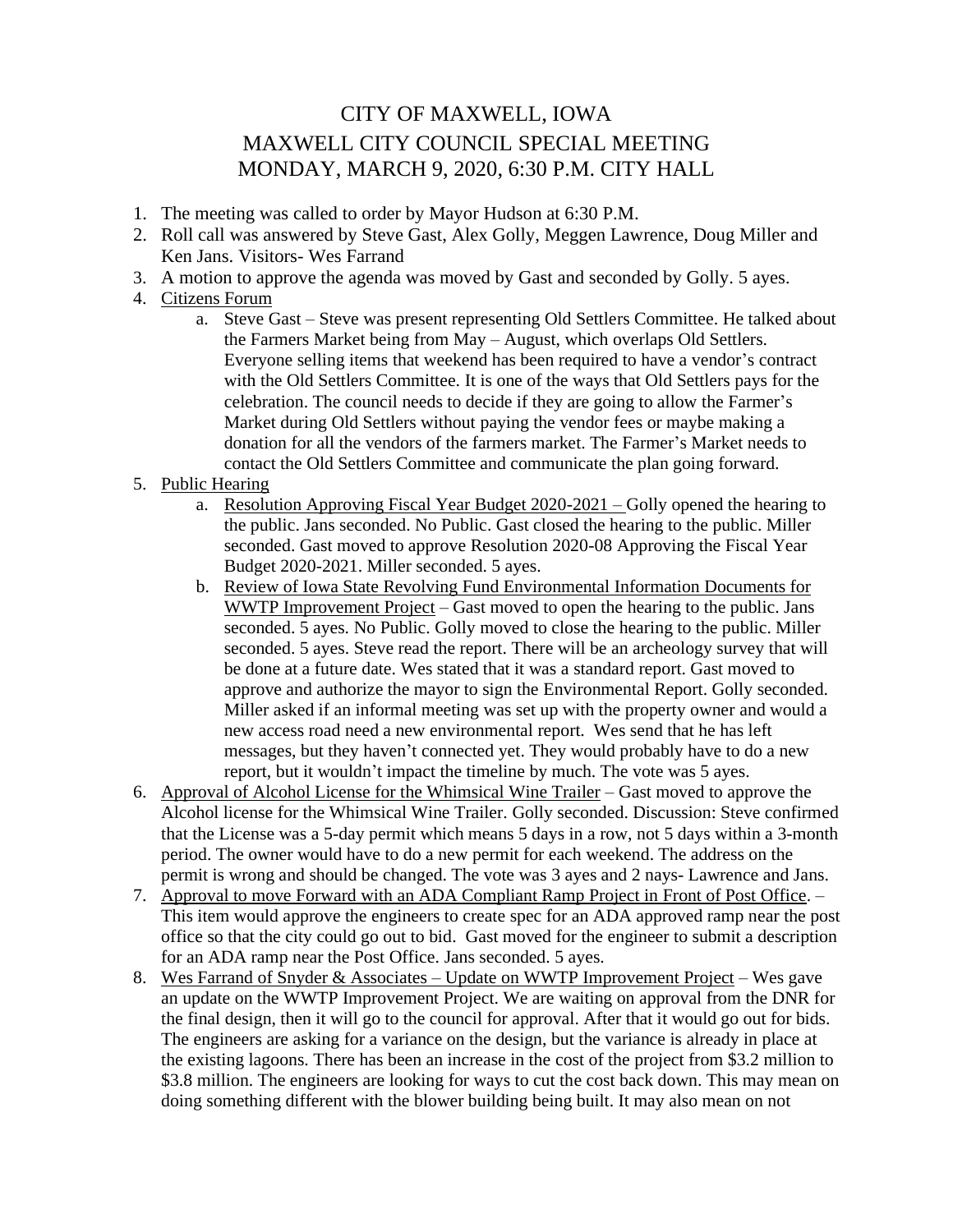## CITY OF MAXWELL, IOWA MAXWELL CITY COUNCIL SPECIAL MEETING MONDAY, MARCH 9, 2020, 6:30 P.M. CITY HALL

- 1. The meeting was called to order by Mayor Hudson at 6:30 P.M.
- 2. Roll call was answered by Steve Gast, Alex Golly, Meggen Lawrence, Doug Miller and Ken Jans. Visitors- Wes Farrand
- 3. A motion to approve the agenda was moved by Gast and seconded by Golly. 5 ayes.
- 4. Citizens Forum
	- a. Steve Gast Steve was present representing Old Settlers Committee. He talked about the Farmers Market being from May – August, which overlaps Old Settlers. Everyone selling items that weekend has been required to have a vendor's contract with the Old Settlers Committee. It is one of the ways that Old Settlers pays for the celebration. The council needs to decide if they are going to allow the Farmer's Market during Old Settlers without paying the vendor fees or maybe making a donation for all the vendors of the farmers market. The Farmer's Market needs to contact the Old Settlers Committee and communicate the plan going forward.
- 5. Public Hearing
	- a. Resolution Approving Fiscal Year Budget 2020-2021 Golly opened the hearing to the public. Jans seconded. No Public. Gast closed the hearing to the public. Miller seconded. Gast moved to approve Resolution 2020-08 Approving the Fiscal Year Budget 2020-2021. Miller seconded. 5 ayes.
	- b. Review of Iowa State Revolving Fund Environmental Information Documents for WWTP Improvement Project – Gast moved to open the hearing to the public. Jans seconded. 5 ayes. No Public. Golly moved to close the hearing to the public. Miller seconded. 5 ayes. Steve read the report. There will be an archeology survey that will be done at a future date. Wes stated that it was a standard report. Gast moved to approve and authorize the mayor to sign the Environmental Report. Golly seconded. Miller asked if an informal meeting was set up with the property owner and would a new access road need a new environmental report. Wes send that he has left messages, but they haven't connected yet. They would probably have to do a new report, but it wouldn't impact the timeline by much. The vote was 5 ayes.
- 6. Approval of Alcohol License for the Whimsical Wine Trailer Gast moved to approve the Alcohol license for the Whimsical Wine Trailer. Golly seconded. Discussion: Steve confirmed that the License was a 5-day permit which means 5 days in a row, not 5 days within a 3-month period. The owner would have to do a new permit for each weekend. The address on the permit is wrong and should be changed. The vote was 3 ayes and 2 nays- Lawrence and Jans.
- 7. Approval to move Forward with an ADA Compliant Ramp Project in Front of Post Office. This item would approve the engineers to create spec for an ADA approved ramp near the post office so that the city could go out to bid. Gast moved for the engineer to submit a description for an ADA ramp near the Post Office. Jans seconded. 5 ayes.
- 8. Wes Farrand of Snyder & Associates Update on WWTP Improvement Project Wes gave an update on the WWTP Improvement Project. We are waiting on approval from the DNR for the final design, then it will go to the council for approval. After that it would go out for bids. The engineers are asking for a variance on the design, but the variance is already in place at the existing lagoons. There has been an increase in the cost of the project from \$3.2 million to \$3.8 million. The engineers are looking for ways to cut the cost back down. This may mean on doing something different with the blower building being built. It may also mean on not